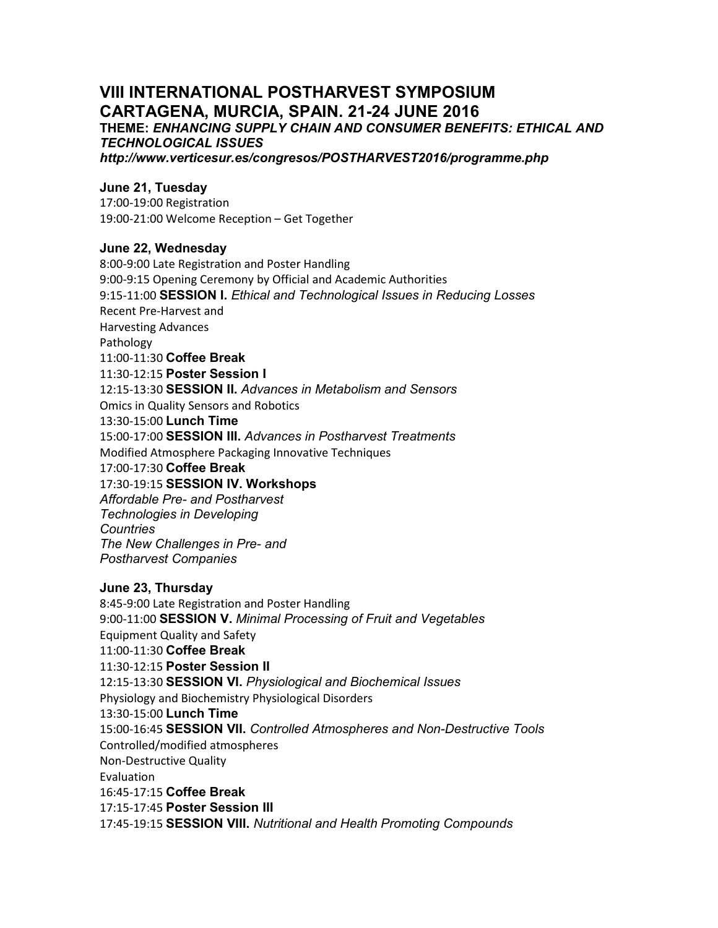# **VIII INTERNATIONAL POSTHARVEST SYMPOSIUM CARTAGENA, MURCIA, SPAIN. 21-24 JUNE 2016**

**THEME:** *ENHANCING SUPPLY CHAIN AND CONSUMER BENEFITS: ETHICAL AND TECHNOLOGICAL ISSUES* 

*http://www.verticesur.es/congresos/POSTHARVEST2016/programme.php* 

## **June 21, Tuesday**

17:00-19:00 Registration 19:00-21:00 Welcome Reception – Get Together

#### **June 22, Wednesday**

8:00-9:00 Late Registration and Poster Handling 9:00-9:15 Opening Ceremony by Official and Academic Authorities 9:15-11:00 **SESSION I.** *Ethical and Technological Issues in Reducing Losses* Recent Pre-Harvest and Harvesting Advances Pathology 11:00-11:30 **Coffee Break**  11:30-12:15 **Poster Session I**  12:15-13:30 **SESSION II.** *Advances in Metabolism and Sensors*  Omics in Quality Sensors and Robotics 13:30-15:00 **Lunch Time**  15:00-17:00 **SESSION III.** *Advances in Postharvest Treatments*  Modified Atmosphere Packaging Innovative Techniques 17:00-17:30 **Coffee Break**  17:30-19:15 **SESSION IV. Workshops**  *Affordable Pre- and Postharvest Technologies in Developing Countries The New Challenges in Pre- and Postharvest Companies* 

#### **June 23, Thursday**

8:45-9:00 Late Registration and Poster Handling 9:00-11:00 **SESSION V.** *Minimal Processing of Fruit and Vegetables*  Equipment Quality and Safety 11:00-11:30 **Coffee Break**  11:30-12:15 **Poster Session II**  12:15-13:30 **SESSION VI.** *Physiological and Biochemical Issues*  Physiology and Biochemistry Physiological Disorders 13:30-15:00 **Lunch Time**  15:00-16:45 **SESSION VII.** *Controlled Atmospheres and Non-Destructive Tools*  Controlled/modified atmospheres Non-Destructive Quality Evaluation 16:45-17:15 **Coffee Break**  17:15-17:45 **Poster Session III**  17:45-19:15 **SESSION VIII.** *Nutritional and Health Promoting Compounds*